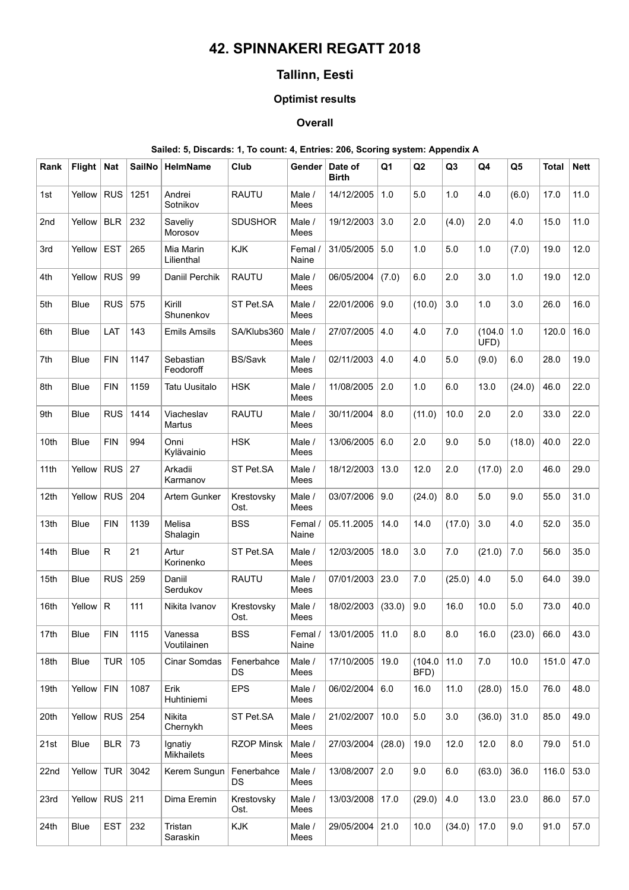# **42. SPINNAKERI REGATT 2018**

## **Tallinn, Eesti**

## **Optimist results**

### **Overall**

#### **Sailed: 5, Discards: 1, To count: 4, Entries: 206, Scoring system: Appendix A**

| Rank | Flight   Nat |            | <b>SailNo</b> | <b>HelmName</b>              | Club                    | Gender           | Date of<br><b>Birth</b> | Q1     | Q2              | Q <sub>3</sub> | Q4            | Q <sub>5</sub> | <b>Total</b> | <b>Nett</b> |
|------|--------------|------------|---------------|------------------------------|-------------------------|------------------|-------------------------|--------|-----------------|----------------|---------------|----------------|--------------|-------------|
| 1st  | Yellow       | <b>RUS</b> | 1251          | Andrei<br>Sotnikov           | <b>RAUTU</b>            | Male /<br>Mees   | 14/12/2005              | 1.0    | 5.0             | 1.0            | 4.0           | (6.0)          | 17.0         | 11.0        |
| 2nd  | Yellow       | <b>BLR</b> | 232           | Saveliy<br>Morosov           | <b>SDUSHOR</b>          | Male /<br>Mees   | 19/12/2003              | 3.0    | 2.0             | (4.0)          | 2.0           | 4.0            | 15.0         | 11.0        |
| 3rd  | Yellow       | <b>EST</b> | 265           | Mia Marin<br>Lilienthal      | <b>KJK</b>              | Femal /<br>Naine | 31/05/2005              | 5.0    | 1.0             | 5.0            | 1.0           | (7.0)          | 19.0         | 12.0        |
| 4th  | Yellow       | <b>RUS</b> | 99            | Daniil Perchik               | <b>RAUTU</b>            | Male /<br>Mees   | 06/05/2004              | (7.0)  | 6.0             | 2.0            | 3.0           | 1.0            | 19.0         | 12.0        |
| 5th  | <b>Blue</b>  | <b>RUS</b> | 575           | Kirill<br>Shunenkov          | ST Pet.SA               | Male /<br>Mees   | 22/01/2006              | 9.0    | (10.0)          | 3.0            | 1.0           | 3.0            | 26.0         | 16.0        |
| 6th  | <b>Blue</b>  | LAT        | 143           | <b>Emils Amsils</b>          | SA/Klubs360             | Male /<br>Mees   | 27/07/2005              | 4.0    | 4.0             | 7.0            | (104.0<br>UFD | 1.0            | 120.0        | 16.0        |
| 7th  | Blue         | <b>FIN</b> | 1147          | Sebastian<br>Feodoroff       | <b>BS/Savk</b>          | Male /<br>Mees   | 02/11/2003              | 4.0    | 4.0             | 5.0            | (9.0)         | 6.0            | 28.0         | 19.0        |
| 8th  | <b>Blue</b>  | <b>FIN</b> | 1159          | <b>Tatu Uusitalo</b>         | <b>HSK</b>              | Male /<br>Mees   | 11/08/2005              | 2.0    | 1.0             | 6.0            | 13.0          | (24.0)         | 46.0         | 22.0        |
| 9th  | Blue         | <b>RUS</b> | 1414          | Viacheslav<br>Martus         | <b>RAUTU</b>            | Male /<br>Mees   | 30/11/2004              | 8.0    | (11.0)          | 10.0           | 2.0           | 2.0            | 33.0         | 22.0        |
| 10th | Blue         | <b>FIN</b> | 994           | Onni<br>Kylävainio           | <b>HSK</b>              | Male /<br>Mees   | 13/06/2005              | 6.0    | 2.0             | 9.0            | 5.0           | (18.0)         | 40.0         | 22.0        |
| 11th | Yellow       | <b>RUS</b> | 27            | Arkadii<br>Karmanov          | ST Pet.SA               | Male /<br>Mees   | 18/12/2003              | 13.0   | 12.0            | 2.0            | (17.0)        | 2.0            | 46.0         | 29.0        |
| 12th | Yellow       | <b>RUS</b> | 204           | Artem Gunker                 | Krestovsky<br>Ost.      | Male /<br>Mees   | 03/07/2006              | 9.0    | (24.0)          | 8.0            | 5.0           | 9.0            | 55.0         | 31.0        |
| 13th | Blue         | <b>FIN</b> | 1139          | Melisa<br>Shalagin           | <b>BSS</b>              | Femal /<br>Naine | 05.11.2005              | 14.0   | 14.0            | (17.0)         | 3.0           | 4.0            | 52.0         | 35.0        |
| 14th | <b>Blue</b>  | R.         | 21            | Artur<br>Korinenko           | ST Pet.SA               | Male /<br>Mees   | 12/03/2005              | 18.0   | 3.0             | 7.0            | (21.0)        | 7.0            | 56.0         | 35.0        |
| 15th | <b>Blue</b>  | <b>RUS</b> | 259           | Daniil<br>Serdukov           | <b>RAUTU</b>            | Male /<br>Mees   | 07/01/2003              | 23.0   | 7.0             | (25.0)         | 4.0           | 5.0            | 64.0         | 39.0        |
| 16th | Yellow       | R.         | 111           | Nikita Ivanov                | Krestovsky<br>Ost.      | Male /<br>Mees   | 18/02/2003              | (33.0) | 9.0             | 16.0           | 10.0          | 5.0            | 73.0         | 40.0        |
| 17th | Blue         | <b>FIN</b> | 1115          | Vanessa<br>Voutilainen       | <b>BSS</b>              | Femal /<br>Naine | 13/01/2005   11.0       |        | 8.0             | 8.0            | 16.0          | (23.0)         | 66.0         | 43.0        |
| 18th | Blue         | <b>TUR</b> | 105           | Cinar Somdas                 | Fenerbahce<br><b>DS</b> | Male /<br>Mees   | 17/10/2005              | 19.0   | (104.0)<br>BFD) | 11.0           | 7.0           | 10.0           | 151.0        | 47.0        |
| 19th | Yellow       | <b>FIN</b> | 1087          | Erik<br>Huhtiniemi           | <b>EPS</b>              | Male /<br>Mees   | 06/02/2004 6.0          |        | 16.0            | 11.0           | (28.0)        | 15.0           | 76.0         | 48.0        |
| 20th | Yellow       | <b>RUS</b> | 254           | Nikita<br>Chernykh           | ST Pet.SA               | Male /<br>Mees   | 21/02/2007              | 10.0   | $5.0\,$         | 3.0            | (36.0)        | 31.0           | 85.0         | 49.0        |
| 21st | Blue         | <b>BLR</b> | 73            | Ignatiy<br><b>Mikhailets</b> | <b>RZOP Minsk</b>       | Male /<br>Mees   | 27/03/2004              | (28.0) | 19.0            | 12.0           | 12.0          | 8.0            | 79.0         | 51.0        |
| 22nd | Yellow       | TUR        | 3042          | Kerem Sungun                 | Fenerbahce<br>DS.       | Male /<br>Mees   | 13/08/2007              | 2.0    | 9.0             | 6.0            | (63.0)        | 36.0           | 116.0        | 53.0        |
| 23rd | Yellow       | <b>RUS</b> | 211           | Dima Eremin                  | Krestovsky<br>Ost.      | Male /<br>Mees   | 13/03/2008              | 17.0   | (29.0)          | 4.0            | 13.0          | 23.0           | 86.0         | 57.0        |
| 24th | Blue         | <b>EST</b> | 232           | Tristan<br>Saraskin          | KJK                     | Male /<br>Mees   | 29/05/2004              | 21.0   | 10.0            | (34.0)         | 17.0          | 9.0            | 91.0         | 57.0        |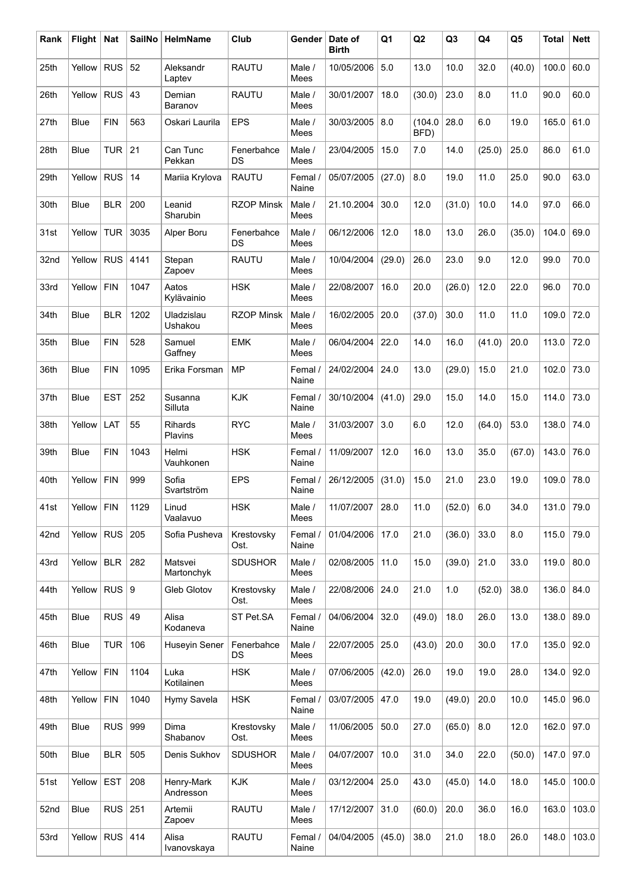| Rank | <b>Flight</b> | <b>Nat</b> | <b>SailNo</b>    | <b>HelmName</b>         | Club                    | Gender           | Date of<br><b>Birth</b> | Q <sub>1</sub> | Q2              | Q <sub>3</sub> | Q4     | Q <sub>5</sub> | <b>Total</b> | <b>Nett</b> |
|------|---------------|------------|------------------|-------------------------|-------------------------|------------------|-------------------------|----------------|-----------------|----------------|--------|----------------|--------------|-------------|
| 25th | Yellow        | <b>RUS</b> | 52               | Aleksandr<br>Laptev     | <b>RAUTU</b>            | Male /<br>Mees   | 10/05/2006              | 5.0            | 13.0            | 10.0           | 32.0   | (40.0)         | 100.0        | 60.0        |
| 26th | Yellow        | <b>RUS</b> | 43               | Demian<br>Baranov       | <b>RAUTU</b>            | Male /<br>Mees   | 30/01/2007              | 18.0           | (30.0)          | 23.0           | 8.0    | 11.0           | 90.0         | 60.0        |
| 27th | <b>Blue</b>   | <b>FIN</b> | 563              | Oskari Laurila          | <b>EPS</b>              | Male /<br>Mees   | 30/03/2005              | 8.0            | (104.0)<br>BFD) | 28.0           | 6.0    | 19.0           | 165.0        | 61.0        |
| 28th | <b>Blue</b>   | <b>TUR</b> | 21               | Can Tunc<br>Pekkan      | Fenerbahce<br>DS        | Male /<br>Mees   | 23/04/2005              | 15.0           | 7.0             | 14.0           | (25.0) | 25.0           | 86.0         | 61.0        |
| 29th | Yellow        | <b>RUS</b> | 14               | Mariia Krylova          | <b>RAUTU</b>            | Femal /<br>Naine | 05/07/2005              | (27.0)         | 8.0             | 19.0           | 11.0   | 25.0           | 90.0         | 63.0        |
| 30th | <b>Blue</b>   | <b>BLR</b> | 200              | Leanid<br>Sharubin      | <b>RZOP Minsk</b>       | Male /<br>Mees   | 21.10.2004              | 30.0           | 12.0            | (31.0)         | 10.0   | 14.0           | 97.0         | 66.0        |
| 31st | Yellow        | <b>TUR</b> | 3035             | Alper Boru              | Fenerbahce<br>DS        | Male /<br>Mees   | 06/12/2006              | 12.0           | 18.0            | 13.0           | 26.0   | (35.0)         | 104.0        | 69.0        |
| 32nd | Yellow        | <b>RUS</b> | 4141             | Stepan<br>Zapoev        | <b>RAUTU</b>            | Male /<br>Mees   | 10/04/2004              | (29.0)         | 26.0            | 23.0           | 9.0    | 12.0           | 99.0         | 70.0        |
| 33rd | Yellow        | <b>FIN</b> | 1047             | Aatos<br>Kylävainio     | <b>HSK</b>              | Male /<br>Mees   | 22/08/2007              | 16.0           | 20.0            | (26.0)         | 12.0   | 22.0           | 96.0         | 70.0        |
| 34th | <b>Blue</b>   | <b>BLR</b> | 1202             | Uladzislau<br>Ushakou   | <b>RZOP Minsk</b>       | Male /<br>Mees   | 16/02/2005              | 20.0           | (37.0)          | 30.0           | 11.0   | 11.0           | 109.0        | 72.0        |
| 35th | <b>Blue</b>   | <b>FIN</b> | 528              | Samuel<br>Gaffney       | <b>EMK</b>              | Male /<br>Mees   | 06/04/2004              | 22.0           | 14.0            | 16.0           | (41.0) | 20.0           | 113.0        | 72.0        |
| 36th | <b>Blue</b>   | <b>FIN</b> | 1095             | Erika Forsman           | <b>MP</b>               | Femal /<br>Naine | 24/02/2004              | 24.0           | 13.0            | (29.0)         | 15.0   | 21.0           | 102.0        | 73.0        |
| 37th | <b>Blue</b>   | <b>EST</b> | 252              | Susanna<br>Silluta      | <b>KJK</b>              | Femal /<br>Naine | 30/10/2004              | (41.0)         | 29.0            | 15.0           | 14.0   | 15.0           | 114.0        | 73.0        |
| 38th | Yellow        | LAT        | 55               | Rihards<br>Plavins      | <b>RYC</b>              | Male /<br>Mees   | 31/03/2007              | 3.0            | 6.0             | 12.0           | (64.0) | 53.0           | 138.0        | 74.0        |
| 39th | <b>Blue</b>   | <b>FIN</b> | 1043             | Helmi<br>Vauhkonen      | <b>HSK</b>              | Femal /<br>Naine | 11/09/2007              | 12.0           | 16.0            | 13.0           | 35.0   | (67.0)         | 143.0        | 76.0        |
| 40th | Yellow        | <b>FIN</b> | 999              | Sofia<br>Svartström     | <b>EPS</b>              | Femal /<br>Naine | 26/12/2005              | (31.0)         | 15.0            | 21.0           | 23.0   | 19.0           | 109.0        | 78.0        |
| 41st | Yellow FIN    |            | 1129             | Linud<br>Vaalavuo       | <b>HSK</b>              | Male /<br>Mees   | 11/07/2007              | 28.0           | 11.0            | (52.0)         | 6.0    | 34.0           | 131.0 79.0   |             |
| 42nd | Yellow        | <b>RUS</b> | 205              | Sofia Pusheva           | Krestovsky<br>Ost.      | Femal /<br>Naine | 01/04/2006              | 17.0           | 21.0            | (36.0)         | 33.0   | 8.0            | 115.0        | 79.0        |
| 43rd | Yellow        | <b>BLR</b> | 282              | Matsvei<br>Martonchyk   | <b>SDUSHOR</b>          | Male /<br>Mees   | 02/08/2005              | 11.0           | 15.0            | (39.0)         | 21.0   | 33.0           | 119.0        | 80.0        |
| 44th | Yellow        | <b>RUS</b> | $\boldsymbol{9}$ | Gleb Glotov             | Krestovsky<br>Ost.      | Male /<br>Mees   | 22/08/2006              | 24.0           | 21.0            | $1.0$          | (52.0) | 38.0           | 136.0        | 84.0        |
| 45th | Blue          | <b>RUS</b> | 49               | Alisa<br>Kodaneva       | ST Pet.SA               | Femal /<br>Naine | 04/06/2004              | 32.0           | (49.0)          | 18.0           | 26.0   | 13.0           | 138.0        | 89.0        |
| 46th | Blue          | <b>TUR</b> | 106              | <b>Huseyin Sener</b>    | Fenerbahce<br><b>DS</b> | Male /<br>Mees   | 22/07/2005              | 25.0           | (43.0)          | 20.0           | 30.0   | 17.0           | 135.0        | 92.0        |
| 47th | Yellow        | <b>FIN</b> | 1104             | Luka<br>Kotilainen      | <b>HSK</b>              | Male /<br>Mees   | 07/06/2005              | (42.0)         | 26.0            | 19.0           | 19.0   | 28.0           | 134.0        | 92.0        |
| 48th | Yellow        | <b>FIN</b> | 1040             | Hymy Savela             | <b>HSK</b>              | Femal /<br>Naine | 03/07/2005              | 47.0           | 19.0            | (49.0)         | 20.0   | 10.0           | 145.0        | 96.0        |
| 49th | Blue          | <b>RUS</b> | 999              | Dima<br>Shabanov        | Krestovsky<br>Ost.      | Male /<br>Mees   | 11/06/2005              | 50.0           | 27.0            | (65.0)         | 8.0    | 12.0           | 162.0        | 97.0        |
| 50th | <b>Blue</b>   | <b>BLR</b> | 505              | Denis Sukhov            | <b>SDUSHOR</b>          | Male /<br>Mees   | 04/07/2007              | 10.0           | 31.0            | 34.0           | 22.0   | (50.0)         | 147.0        | 97.0        |
| 51st | Yellow        | <b>EST</b> | 208              | Henry-Mark<br>Andresson | KJK                     | Male /<br>Mees   | 03/12/2004              | 25.0           | 43.0            | (45.0)         | 14.0   | 18.0           | 145.0        | 100.0       |
| 52nd | Blue          | <b>RUS</b> | 251              | Artemii<br>Zapoev       | <b>RAUTU</b>            | Male /<br>Mees   | 17/12/2007              | 31.0           | (60.0)          | 20.0           | 36.0   | 16.0           | 163.0        | 103.0       |
| 53rd | Yellow        | <b>RUS</b> | 414              | Alisa<br>Ivanovskaya    | <b>RAUTU</b>            | Femal /<br>Naine | 04/04/2005              | (45.0)         | 38.0            | 21.0           | 18.0   | 26.0           | 148.0        | 103.0       |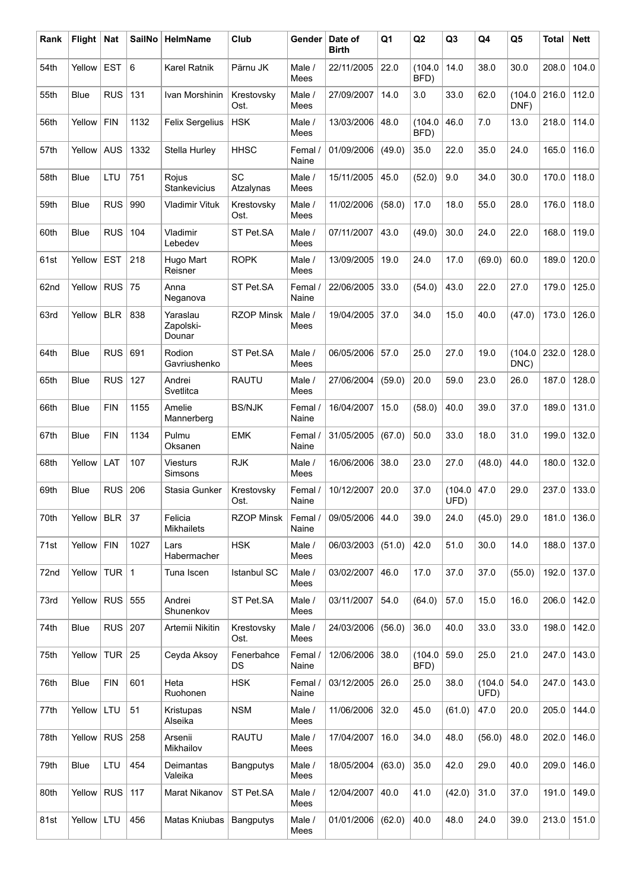| Rank | Flight      | <b>Nat</b>      | <b>SailNo</b> | <b>HelmName</b>                   | Club               | Gender           | Date of<br><b>Birth</b> | Q <sub>1</sub> | Q2              | Q <sub>3</sub> | Q4             | Q <sub>5</sub>  | <b>Total</b> | <b>Nett</b> |
|------|-------------|-----------------|---------------|-----------------------------------|--------------------|------------------|-------------------------|----------------|-----------------|----------------|----------------|-----------------|--------------|-------------|
| 54th | Yellow      | <b>EST</b>      | 6             | <b>Karel Ratnik</b>               | Pärnu JK           | Male /<br>Mees   | 22/11/2005              | 22.0           | (104.0<br>BFD)  | 14.0           | 38.0           | 30.0            | 208.0        | 104.0       |
| 55th | Blue        | <b>RUS</b>      | 131           | Ivan Morshinin                    | Krestovsky<br>Ost. | Male /<br>Mees   | 27/09/2007              | 14.0           | 3.0             | 33.0           | 62.0           | (104.0)<br>DNF) | 216.0        | 112.0       |
| 56th | Yellow      | <b>FIN</b>      | 1132          | <b>Felix Sergelius</b>            | <b>HSK</b>         | Male /<br>Mees   | 13/03/2006              | 48.0           | (104.0<br>BFD)  | 46.0           | 7.0            | 13.0            | 218.0        | 114.0       |
| 57th | Yellow      | AUS             | 1332          | Stella Hurley                     | <b>HHSC</b>        | Femal /<br>Naine | 01/09/2006              | (49.0)         | 35.0            | 22.0           | 35.0           | 24.0            | 165.0        | 116.0       |
| 58th | <b>Blue</b> | LTU             | 751           | Rojus<br>Stankevicius             | SC<br>Atzalynas    | Male /<br>Mees   | 15/11/2005              | 45.0           | (52.0)          | 9.0            | 34.0           | 30.0            | 170.0        | 118.0       |
| 59th | <b>Blue</b> | <b>RUS</b>      | 990           | <b>Vladimir Vituk</b>             | Krestovsky<br>Ost. | Male /<br>Mees   | 11/02/2006              | (58.0)         | 17.0            | 18.0           | 55.0           | 28.0            | 176.0        | 118.0       |
| 60th | Blue        | <b>RUS</b>      | 104           | Vladimir<br>Lebedev               | ST Pet.SA          | Male /<br>Mees   | 07/11/2007              | 43.0           | (49.0)          | 30.0           | 24.0           | 22.0            | 168.0        | 119.0       |
| 61st | Yellow      | <b>EST</b>      | 218           | Hugo Mart<br>Reisner              | <b>ROPK</b>        | Male /<br>Mees   | 13/09/2005              | 19.0           | 24.0            | 17.0           | (69.0)         | 60.0            | 189.0        | 120.0       |
| 62nd | Yellow      | <b>RUS</b>      | 75            | Anna<br>Neganova                  | ST Pet.SA          | Femal /<br>Naine | 22/06/2005              | 33.0           | (54.0)          | 43.0           | 22.0           | 27.0            | 179.0        | 125.0       |
| 63rd | Yellow      | <b>BLR</b>      | 838           | Yaraslau<br>Zapolski-<br>Dounar   | <b>RZOP Minsk</b>  | Male /<br>Mees   | 19/04/2005              | 37.0           | 34.0            | 15.0           | 40.0           | (47.0)          | 173.0        | 126.0       |
| 64th | <b>Blue</b> | <b>RUS</b>      | 691           | Rodion<br>Gavriushenko            | ST Pet.SA          | Male /<br>Mees   | 06/05/2006              | 57.0           | 25.0            | 27.0           | 19.0           | (104.0)<br>DNC) | 232.0        | 128.0       |
| 65th | <b>Blue</b> | <b>RUS</b>      | 127           | Andrei<br>Svetlitca               | <b>RAUTU</b>       | Male /<br>Mees   | 27/06/2004              | (59.0)         | 20.0            | 59.0           | 23.0           | 26.0            | 187.0        | 128.0       |
| 66th | <b>Blue</b> | <b>FIN</b>      | 1155          | Amelie<br>Mannerberg              | <b>BS/NJK</b>      | Femal /<br>Naine | 16/04/2007              | 15.0           | (58.0)          | 40.0           | 39.0           | 37.0            | 189.0        | 131.0       |
| 67th | Blue        | <b>FIN</b>      | 1134          | Pulmu<br>Oksanen                  | <b>EMK</b>         | Femal /<br>Naine | 31/05/2005              | (67.0)         | 50.0            | 33.0           | 18.0           | 31.0            | 199.0        | 132.0       |
| 68th | Yellow      | LAT             | 107           | <b>Viesturs</b><br><b>Simsons</b> | <b>RJK</b>         | Male /<br>Mees   | 16/06/2006              | 38.0           | 23.0            | 27.0           | (48.0)         | 44.0            | 180.0        | 132.0       |
| 69th | Blue        | <b>RUS</b>      | 206           | Stasia Gunker                     | Krestovsky<br>Ost. | Femal /<br>Naine | 10/12/2007              | 20.0           | 37.0            | (104.0<br>UFD) | 47.0           | 29.0            | 237.0        | 133.0       |
| 70th | Yellow      | <b>BLR</b>      | 37            | Felicia<br>Mikhailets             | <b>RZOP Minsk</b>  | Femal /<br>Naine | 09/05/2006              | 44.0           | 39.0            | 24.0           | (45.0)         | 29.0            | 181.0        | 136.0       |
| 71st | Yellow      | <b>FIN</b>      | 1027          | Lars<br>Habermacher               | <b>HSK</b>         | Male /<br>Mees   | 06/03/2003              | (51.0)         | 42.0            | 51.0           | 30.0           | 14.0            | 188.0        | 137.0       |
| 72nd | Yellow      | TUR <sup></sup> | $\mathbf{1}$  | Tuna Iscen                        | <b>Istanbul SC</b> | Male /<br>Mees   | 03/02/2007              | 46.0           | 17.0            | 37.0           | 37.0           | (55.0)          | 192.0        | 137.0       |
| 73rd | Yellow      | RUS             | 555           | Andrei<br>Shunenkov               | ST Pet.SA          | Male /<br>Mees   | 03/11/2007              | 54.0           | (64.0)          | 57.0           | 15.0           | 16.0            | 206.0        | 142.0       |
| 74th | Blue        | <b>RUS</b>      | 207           | Artemii Nikitin                   | Krestovsky<br>Ost. | Male /<br>Mees   | 24/03/2006              | (56.0)         | 36.0            | 40.0           | 33.0           | 33.0            | 198.0        | 142.0       |
| 75th | Yellow      | TUR <sup></sup> | 25            | Ceyda Aksoy                       | Fenerbahce<br>DS   | Femal /<br>Naine | 12/06/2006              | 38.0           | (104.0)<br>BFD) | 59.0           | 25.0           | 21.0            | 247.0        | 143.0       |
| 76th | Blue        | <b>FIN</b>      | 601           | Heta<br>Ruohonen                  | <b>HSK</b>         | Femal /<br>Naine | 03/12/2005              | 26.0           | 25.0            | 38.0           | (104.0<br>UFD) | 54.0            | 247.0        | 143.0       |
| 77th | Yellow      | LTU             | 51            | Kristupas<br>Alseika              | <b>NSM</b>         | Male /<br>Mees   | 11/06/2006              | 32.0           | 45.0            | (61.0)         | 47.0           | 20.0            | 205.0        | 144.0       |
| 78th | Yellow      | <b>RUS</b>      | 258           | Arsenii<br>Mikhailov              | <b>RAUTU</b>       | Male /<br>Mees   | 17/04/2007              | 16.0           | 34.0            | 48.0           | (56.0)         | 48.0            | 202.0        | 146.0       |
| 79th | Blue        | LTU             | 454           | Deimantas<br>Valeika              | <b>Bangputys</b>   | Male /<br>Mees   | 18/05/2004              | (63.0)         | 35.0            | 42.0           | 29.0           | 40.0            | 209.0        | 146.0       |
| 80th | Yellow      | <b>RUS</b>      | 117           | Marat Nikanov                     | ST Pet.SA          | Male /<br>Mees   | 12/04/2007              | 40.0           | 41.0            | (42.0)         | 31.0           | 37.0            | 191.0        | 149.0       |
| 81st | Yellow      | LTU             | 456           | Matas Kniubas                     | Bangputys          | Male /<br>Mees   | 01/01/2006              | (62.0)         | 40.0            | 48.0           | 24.0           | 39.0            | 213.0        | 151.0       |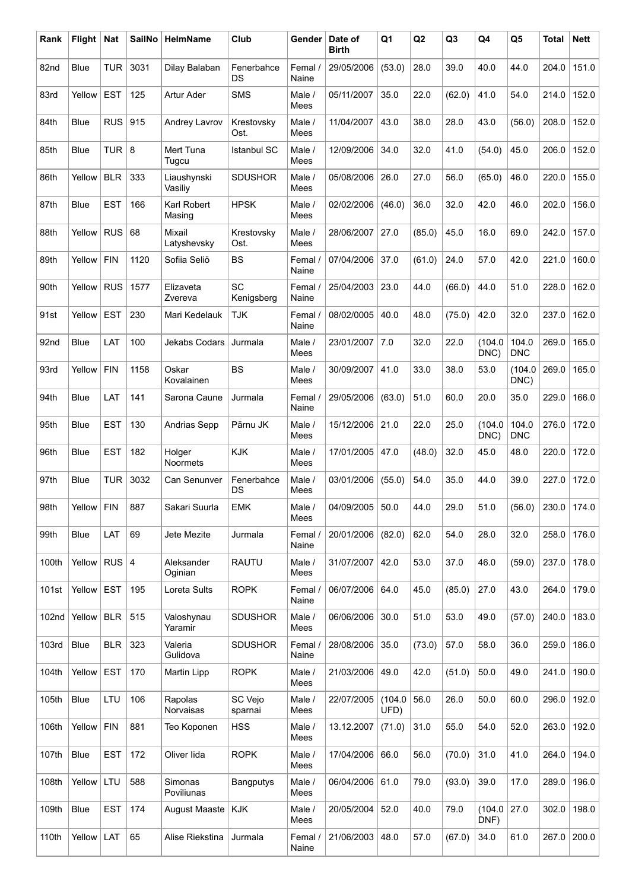| Rank  | <b>Flight</b> | Nat        | <b>SailNo</b> | <b>HelmName</b>           | Club                    | Gender           | Date of<br>Birth | Q <sub>1</sub> | Q2     | Q <sub>3</sub> | Q4                | Q5                  | <b>Total</b> | <b>Nett</b> |
|-------|---------------|------------|---------------|---------------------------|-------------------------|------------------|------------------|----------------|--------|----------------|-------------------|---------------------|--------------|-------------|
| 82nd  | <b>Blue</b>   | <b>TUR</b> | 3031          | Dilay Balaban             | Fenerbahce<br>DS        | Femal /<br>Naine | 29/05/2006       | (53.0)         | 28.0   | 39.0           | 40.0              | 44.0                | 204.0        | 151.0       |
| 83rd  | Yellow        | <b>EST</b> | 125           | Artur Ader                | <b>SMS</b>              | Male /<br>Mees   | 05/11/2007       | 35.0           | 22.0   | (62.0)         | 41.0              | 54.0                | 214.0        | 152.0       |
| 84th  | <b>Blue</b>   | <b>RUS</b> | 915           | Andrey Lavrov             | Krestovsky<br>Ost.      | Male /<br>Mees   | 11/04/2007       | 43.0           | 38.0   | 28.0           | 43.0              | (56.0)              | 208.0        | 152.0       |
| 85th  | Blue          | <b>TUR</b> | 8             | Mert Tuna<br>Tugcu        | <b>Istanbul SC</b>      | Male /<br>Mees   | 12/09/2006       | 34.0           | 32.0   | 41.0           | (54.0)            | 45.0                | 206.0        | 152.0       |
| 86th  | Yellow        | <b>BLR</b> | 333           | Liaushynski<br>Vasiliy    | <b>SDUSHOR</b>          | Male /<br>Mees   | 05/08/2006       | 26.0           | 27.0   | 56.0           | (65.0)            | 46.0                | 220.0        | 155.0       |
| 87th  | <b>Blue</b>   | <b>EST</b> | 166           | Karl Robert<br>Masing     | <b>HPSK</b>             | Male /<br>Mees   | 02/02/2006       | (46.0)         | 36.0   | 32.0           | 42.0              | 46.0                | 202.0        | 156.0       |
| 88th  | Yellow        | <b>RUS</b> | 68            | Mixail<br>Latyshevsky     | Krestovsky<br>Ost.      | Male /<br>Mees   | 28/06/2007       | 27.0           | (85.0) | 45.0           | 16.0              | 69.0                | 242.0        | 157.0       |
| 89th  | Yellow        | <b>FIN</b> | 1120          | Sofiia Seliö              | <b>BS</b>               | Femal /<br>Naine | 07/04/2006       | 37.0           | (61.0) | 24.0           | 57.0              | 42.0                | 221.0        | 160.0       |
| 90th  | Yellow        | <b>RUS</b> | 1577          | Elizaveta<br>Zvereva      | <b>SC</b><br>Kenigsberg | Femal /<br>Naine | 25/04/2003       | 23.0           | 44.0   | (66.0)         | 44.0              | 51.0                | 228.0        | 162.0       |
| 91st  | Yellow        | <b>EST</b> | 230           | Mari Kedelauk             | <b>TJK</b>              | Femal /<br>Naine | 08/02/0005       | 40.0           | 48.0   | (75.0)         | 42.0              | 32.0                | 237.0        | 162.0       |
| 92nd  | Blue          | LAT        | 100           | Jekabs Codars             | Jurmala                 | Male /<br>Mees   | 23/01/2007       | 7.0            | 32.0   | 22.0           | (104.0<br>$DNC$ ) | 104.0<br><b>DNC</b> | 269.0        | 165.0       |
| 93rd  | Yellow        | <b>FIN</b> | 1158          | Oskar<br>Kovalainen       | <b>BS</b>               | Male /<br>Mees   | 30/09/2007       | 41.0           | 33.0   | 38.0           | 53.0              | (104.0)<br>DNC)     | 269.0        | 165.0       |
| 94th  | <b>Blue</b>   | LAT        | 141           | Sarona Caune              | Jurmala                 | Femal /<br>Naine | 29/05/2006       | (63.0)         | 51.0   | 60.0           | 20.0              | 35.0                | 229.0        | 166.0       |
| 95th  | Blue          | <b>EST</b> | 130           | Andrias Sepp              | Pärnu JK                | Male /<br>Mees   | 15/12/2006       | 21.0           | 22.0   | 25.0           | (104.0<br>DNC)    | 104.0<br><b>DNC</b> | 276.0        | 172.0       |
| 96th  | <b>Blue</b>   | <b>EST</b> | 182           | Holger<br><b>Noormets</b> | <b>KJK</b>              | Male /<br>Mees   | 17/01/2005       | 47.0           | (48.0) | 32.0           | 45.0              | 48.0                | 220.0        | 172.0       |
| 97th  | Blue          | <b>TUR</b> | 3032          | Can Senunver              | Fenerbahce<br>DS        | Male /<br>Mees   | 03/01/2006       | (55.0)         | 54.0   | 35.0           | 44.0              | 39.0                | 227.0        | 172.0       |
| 98th  | Yellow   FIN  |            | 887           | Sakari Suurla             | EMK                     | Male /<br>Mees   | 04/09/2005       | 50.0           | 44.0   | 29.0           | 51.0              | (56.0)              | 230.0        | 174.0       |
| 99th  | Blue          | LAT        | 69            | Jete Mezite               | Jurmala                 | Femal /<br>Naine | 20/01/2006       | (82.0)         | 62.0   | 54.0           | 28.0              | 32.0                | 258.0        | 176.0       |
| 100th | Yellow        | RUS $ 4$   |               | Aleksander<br>Oginian     | <b>RAUTU</b>            | Male /<br>Mees   | 31/07/2007       | 42.0           | 53.0   | 37.0           | 46.0              | (59.0)              | 237.0        | 178.0       |
| 101st | Yellow        | <b>EST</b> | 195           | Loreta Sults              | <b>ROPK</b>             | Femal /<br>Naine | 06/07/2006       | 64.0           | 45.0   | (85.0)         | 27.0              | 43.0                | 264.0        | 179.0       |
| 102nd | Yellow        | BLR        | 515           | Valoshynau<br>Yaramir     | <b>SDUSHOR</b>          | Male /<br>Mees   | 06/06/2006       | 30.0           | 51.0   | 53.0           | 49.0              | (57.0)              | 240.0        | 183.0       |
| 103rd | Blue          | <b>BLR</b> | 323           | Valeria<br>Gulidova       | <b>SDUSHOR</b>          | Femal /<br>Naine | 28/08/2006       | 35.0           | (73.0) | 57.0           | 58.0              | 36.0                | 259.0        | 186.0       |
| 104th | Yellow        | EST        | 170           | Martin Lipp               | <b>ROPK</b>             | Male /<br>Mees   | 21/03/2006       | 49.0           | 42.0   | (51.0)         | 50.0              | 49.0                | 241.0        | 190.0       |
| 105th | Blue          | LTU        | 106           | Rapolas<br>Norvaisas      | SC Vejo<br>sparnai      | Male /<br>Mees   | 22/07/2005       | (104.0<br>UFD) | 56.0   | 26.0           | 50.0              | 60.0                | 296.0        | 192.0       |
| 106th | Yellow        | <b>FIN</b> | 881           | Teo Koponen               | <b>HSS</b>              | Male /<br>Mees   | 13.12.2007       | (71.0)         | 31.0   | 55.0           | 54.0              | 52.0                | 263.0        | 192.0       |
| 107th | Blue          | <b>EST</b> | 172           | Oliver lida               | <b>ROPK</b>             | Male /<br>Mees   | 17/04/2006       | 66.0           | 56.0   | (70.0)         | 31.0              | 41.0                | 264.0        | 194.0       |
| 108th | Yellow        | LTU        | 588           | Simonas<br>Poviliunas     | Bangputys               | Male /<br>Mees   | 06/04/2006       | 61.0           | 79.0   | (93.0)         | 39.0              | 17.0                | 289.0        | 196.0       |
| 109th | Blue          | <b>EST</b> | 174           | <b>August Maaste</b>      | KJK                     | Male /<br>Mees   | 20/05/2004       | 52.0           | 40.0   | 79.0           | (104.0<br>DNF)    | 27.0                | 302.0        | 198.0       |
| 110th | Yellow        | LAT        | 65            | Alise Riekstina           | Jurmala                 | Femal /<br>Naine | 21/06/2003       | 48.0           | 57.0   | (67.0)         | 34.0              | 61.0                | 267.0        | 200.0       |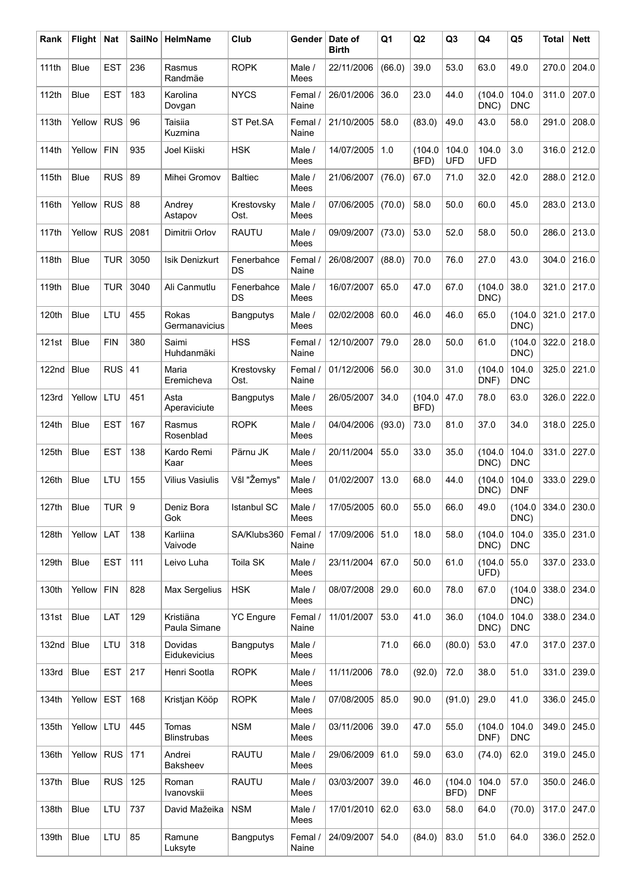| Rank         | <b>Flight</b> | <b>Nat</b> | <b>SailNo</b> | HelmName                    | Club               | Gender           | Date of<br><b>Birth</b> | Q <sub>1</sub> | Q2              | Q <sub>3</sub>      | Q4                  | Q <sub>5</sub>      | <b>Total</b> | <b>Nett</b> |
|--------------|---------------|------------|---------------|-----------------------------|--------------------|------------------|-------------------------|----------------|-----------------|---------------------|---------------------|---------------------|--------------|-------------|
| 111th        | <b>Blue</b>   | <b>EST</b> | 236           | Rasmus<br>Randmäe           | <b>ROPK</b>        | Male /<br>Mees   | 22/11/2006              | (66.0)         | 39.0            | 53.0                | 63.0                | 49.0                | 270.0        | 204.0       |
| 112th        | <b>Blue</b>   | <b>EST</b> | 183           | Karolina<br>Dovgan          | <b>NYCS</b>        | Femal /<br>Naine | 26/01/2006              | 36.0           | 23.0            | 44.0                | (104.0<br>DNC)      | 104.0<br><b>DNC</b> | 311.0        | 207.0       |
| 113th        | Yellow        | <b>RUS</b> | 96            | Taisiia<br>Kuzmina          | ST Pet.SA          | Femal /<br>Naine | 21/10/2005              | 58.0           | (83.0)          | 49.0                | 43.0                | 58.0                | 291.0        | 208.0       |
| 114th        | Yellow        | <b>FIN</b> | 935           | Joel Kiiski                 | <b>HSK</b>         | Male /<br>Mees   | 14/07/2005              | 1.0            | (104.0)<br>BFD) | 104.0<br><b>UFD</b> | 104.0<br><b>UFD</b> | 3.0                 | 316.0        | 212.0       |
| 115th        | <b>Blue</b>   | <b>RUS</b> | 89            | Mihei Gromov                | <b>Baltiec</b>     | Male /<br>Mees   | 21/06/2007              | (76.0)         | 67.0            | 71.0                | 32.0                | 42.0                | 288.0        | 212.0       |
| 116th        | Yellow        | <b>RUS</b> | 88            | Andrey<br>Astapov           | Krestovsky<br>Ost. | Male /<br>Mees   | 07/06/2005              | (70.0)         | 58.0            | 50.0                | 60.0                | 45.0                | 283.0        | 213.0       |
| 117th        | Yellow        | <b>RUS</b> | 2081          | Dimitrii Orlov              | <b>RAUTU</b>       | Male /<br>Mees   | 09/09/2007              | (73.0)         | 53.0            | 52.0                | 58.0                | 50.0                | 286.0        | 213.0       |
| 118th        | <b>Blue</b>   | <b>TUR</b> | 3050          | <b>Isik Denizkurt</b>       | Fenerbahce<br>DS   | Femal /<br>Naine | 26/08/2007              | (88.0)         | 70.0            | 76.0                | 27.0                | 43.0                | 304.0        | 216.0       |
| 119th        | <b>Blue</b>   | <b>TUR</b> | 3040          | Ali Canmutlu                | Fenerbahce<br>DS   | Male /<br>Mees   | 16/07/2007              | 65.0           | 47.0            | 67.0                | (104.0<br>DNC)      | 38.0                | 321.0        | 217.0       |
| 120th        | Blue          | LTU        | 455           | Rokas<br>Germanavicius      | <b>Bangputys</b>   | Male /<br>Mees   | 02/02/2008              | 60.0           | 46.0            | 46.0                | 65.0                | (104.0)<br>DNC)     | 321.0        | 217.0       |
| 121st        | <b>Blue</b>   | <b>FIN</b> | 380           | Saimi<br>Huhdanmäki         | <b>HSS</b>         | Femal /<br>Naine | 12/10/2007              | 79.0           | 28.0            | 50.0                | 61.0                | (104.0<br>DNC)      | 322.0        | 218.0       |
| 122nd        | <b>Blue</b>   | <b>RUS</b> | 41            | Maria<br>Eremicheva         | Krestovsky<br>Ost. | Femal /<br>Naine | 01/12/2006              | 56.0           | 30.0            | 31.0                | (104.0<br>DNF)      | 104.0<br><b>DNC</b> | 325.0        | 221.0       |
| <b>123rd</b> | Yellow        | LTU        | 451           | Asta<br>Aperaviciute        | <b>Bangputys</b>   | Male /<br>Mees   | 26/05/2007              | 34.0           | (104.0)<br>BFD) | 47.0                | 78.0                | 63.0                | 326.0        | 222.0       |
| 124th        | Blue          | <b>EST</b> | 167           | Rasmus<br>Rosenblad         | <b>ROPK</b>        | Male /<br>Mees   | 04/04/2006              | (93.0)         | 73.0            | 81.0                | 37.0                | 34.0                | 318.0        | 225.0       |
| 125th        | <b>Blue</b>   | <b>EST</b> | 138           | Kardo Remi<br>Kaar          | Pärnu JK           | Male /<br>Mees   | 20/11/2004              | 55.0           | 33.0            | 35.0                | (104.0<br>DNC)      | 104.0<br><b>DNC</b> | 331.0        | 227.0       |
| 126th        | Blue          | LTU        | 155           | <b>Vilius Vasiulis</b>      | Všl "Žemys"        | Male /<br>Mees   | 01/02/2007              | 13.0           | 68.0            | 44.0                | (104.0<br>DNC)      | 104.0<br><b>DNF</b> | 333.0        | 229.0       |
| 127th        | <b>Blue</b>   | TUR $ 9$   |               | Deniz Bora<br>Gok           | Istanbul SC        | Male /<br>Mees   | 17/05/2005 60.0         |                | 55.0            | 66.0                | 49.0                | (104.0<br>DNC)      | 334.0        | 230.0       |
| 128th        | Yellow        | LAT        | 138           | Karliina<br>Vaivode         | SA/Klubs360        | Femal /<br>Naine | 17/09/2006              | 51.0           | 18.0            | 58.0                | (104.0<br>DNC)      | 104.0<br><b>DNC</b> | 335.0        | 231.0       |
| 129th        | Blue          | <b>EST</b> | 111           | Leivo Luha                  | Toila SK           | Male /<br>Mees   | 23/11/2004              | 67.0           | 50.0            | 61.0                | (104.0<br>UFD)      | 55.0                | 337.0        | 233.0       |
| 130th        | Yellow        | <b>FIN</b> | 828           | Max Sergelius               | <b>HSK</b>         | Male /<br>Mees   | 08/07/2008              | 29.0           | 60.0            | 78.0                | 67.0                | (104.0<br>DNC)      | 338.0        | 234.0       |
| 131st        | Blue          | LAT        | 129           | Kristiäna<br>Paula Simane   | <b>YC</b> Engure   | Femal /<br>Naine | 11/01/2007              | 53.0           | 41.0            | 36.0                | (104.0<br>DNC)      | 104.0<br><b>DNC</b> | 338.0        | 234.0       |
| 132nd        | Blue          | LTU        | 318           | Dovidas<br>Eidukevicius     | <b>Bangputys</b>   | Male /<br>Mees   |                         | 71.0           | 66.0            | (80.0)              | 53.0                | 47.0                | 317.0        | 237.0       |
| 133rd        | Blue          | <b>EST</b> | 217           | Henri Sootla                | <b>ROPK</b>        | Male /<br>Mees   | 11/11/2006              | 78.0           | (92.0)          | 72.0                | 38.0                | 51.0                | 331.0        | 239.0       |
| 134th        | Yellow        | <b>EST</b> | 168           | Kristjan Kööp               | <b>ROPK</b>        | Male /<br>Mees   | 07/08/2005              | 85.0           | 90.0            | (91.0)              | 29.0                | 41.0                | 336.0        | 245.0       |
| 135th        | Yellow        | LTU        | 445           | Tomas<br><b>Blinstrubas</b> | <b>NSM</b>         | Male /<br>Mees   | 03/11/2006              | 39.0           | 47.0            | 55.0                | (104.0<br>DNF)      | 104.0<br><b>DNC</b> | 349.0        | 245.0       |
| 136th        | Yellow        | <b>RUS</b> | 171           | Andrei<br>Baksheev          | <b>RAUTU</b>       | Male /<br>Mees   | 29/06/2009              | 61.0           | 59.0            | 63.0                | (74.0)              | 62.0                | 319.0        | 245.0       |
| 137th        | Blue          | <b>RUS</b> | 125           | Roman<br>Ivanovskii         | <b>RAUTU</b>       | Male /<br>Mees   | 03/03/2007              | 39.0           | 46.0            | (104.0<br>BFD)      | 104.0<br><b>DNF</b> | 57.0                | 350.0        | 246.0       |
| 138th        | <b>Blue</b>   | LTU        | 737           | David Mažeika               | <b>NSM</b>         | Male /<br>Mees   | 17/01/2010              | 62.0           | 63.0            | 58.0                | 64.0                | (70.0)              | 317.0        | 247.0       |
| 139th        | Blue          | LTU        | 85            | Ramune<br>Luksyte           | <b>Bangputys</b>   | Femal /<br>Naine | 24/09/2007              | 54.0           | (84.0)          | 83.0                | 51.0                | 64.0                | 336.0        | 252.0       |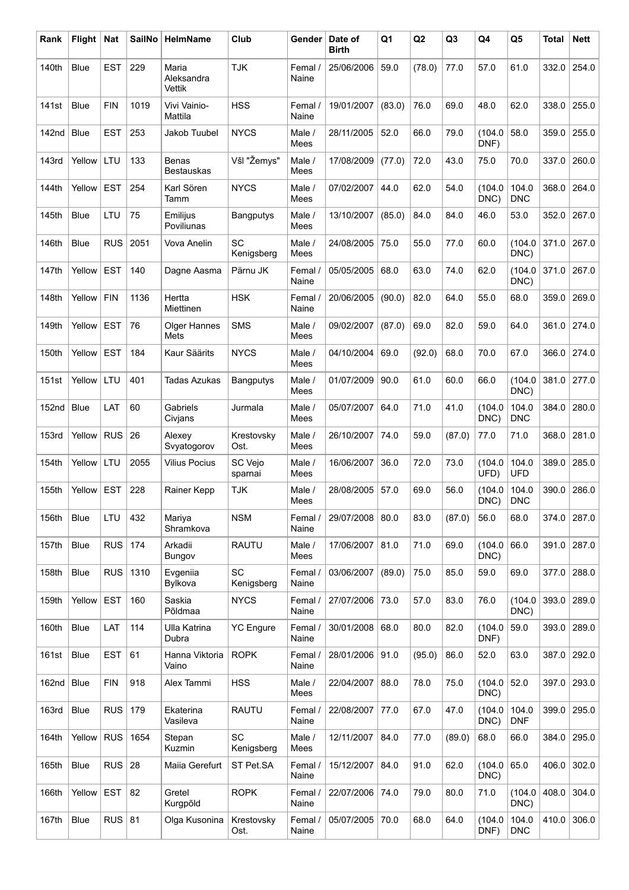| Rank              | Flight      | <b>Nat</b> | <b>SailNo</b> | <b>HelmName</b>                   | Club                    | Gender           | Date of<br><b>Birth</b> | Q1     | Q2     | Q <sub>3</sub> | Q4              | Q <sub>5</sub>      | <b>Total</b> | <b>Nett</b> |
|-------------------|-------------|------------|---------------|-----------------------------------|-------------------------|------------------|-------------------------|--------|--------|----------------|-----------------|---------------------|--------------|-------------|
| 140th             | Blue        | <b>EST</b> | 229           | Maria<br>Aleksandra<br>Vettik     | <b>TJK</b>              | Femal /<br>Naine | 25/06/2006              | 59.0   | (78.0) | 77.0           | 57.0            | 61.0                | 332.0        | 254.0       |
| 141st             | <b>Blue</b> | <b>FIN</b> | 1019          | Vivi Vainio-<br>Mattila           | <b>HSS</b>              | Femal /<br>Naine | 19/01/2007              | (83.0) | 76.0   | 69.0           | 48.0            | 62.0                | 338.0        | 255.0       |
| 142 <sub>nd</sub> | <b>Blue</b> | <b>EST</b> | 253           | Jakob Tuubel                      | <b>NYCS</b>             | Male /<br>Mees   | 28/11/2005              | 52.0   | 66.0   | 79.0           | (104.0<br>DNF)  | 58.0                | 359.0        | 255.0       |
| 143rd             | Yellow      | LTU        | 133           | <b>Benas</b><br><b>Bestauskas</b> | Všl "Žemys"             | Male /<br>Mees   | 17/08/2009              | (77.0) | 72.0   | 43.0           | 75.0            | 70.0                | 337.0        | 260.0       |
| 144th             | Yellow      | <b>EST</b> | 254           | Karl Sören<br>Tamm                | <b>NYCS</b>             | Male /<br>Mees   | 07/02/2007              | 44.0   | 62.0   | 54.0           | (104.0<br>DNC)  | 104.0<br><b>DNC</b> | 368.0        | 264.0       |
| 145th             | <b>Blue</b> | LTU        | 75            | Emilijus<br>Poviliunas            | <b>Bangputys</b>        | Male /<br>Mees   | 13/10/2007              | (85.0) | 84.0   | 84.0           | 46.0            | 53.0                | 352.0        | 267.0       |
| 146th             | <b>Blue</b> | <b>RUS</b> | 2051          | Vova Anelin                       | <b>SC</b><br>Kenigsberg | Male /<br>Mees   | 24/08/2005              | 75.0   | 55.0   | 77.0           | 60.0            | (104.0)<br>DNC)     | 371.0        | 267.0       |
| 147th             | Yellow      | <b>EST</b> | 140           | Dagne Aasma                       | Pärnu JK                | Femal /<br>Naine | 05/05/2005              | 68.0   | 63.0   | 74.0           | 62.0            | (104.0)<br>DNC)     | 371.0        | 267.0       |
| 148th             | Yellow      | <b>FIN</b> | 1136          | Hertta<br>Miettinen               | <b>HSK</b>              | Femal /<br>Naine | 20/06/2005              | (90.0) | 82.0   | 64.0           | 55.0            | 68.0                | 359.0        | 269.0       |
| 149th             | Yellow      | EST        | 76            | <b>Olger Hannes</b><br>Mets       | <b>SMS</b>              | Male /<br>Mees   | 09/02/2007              | (87.0) | 69.0   | 82.0           | 59.0            | 64.0                | 361.0        | 274.0       |
| 150th             | Yellow      | <b>EST</b> | 184           | Kaur Säärits                      | <b>NYCS</b>             | Male /<br>Mees   | 04/10/2004              | 69.0   | (92.0) | 68.0           | 70.0            | 67.0                | 366.0        | 274.0       |
| 151st             | Yellow      | LTU        | 401           | <b>Tadas Azukas</b>               | <b>Bangputys</b>        | Male /<br>Mees   | 01/07/2009              | 90.0   | 61.0   | 60.0           | 66.0            | (104.0)<br>DNC)     | 381.0        | 277.0       |
| 152nd             | Blue        | LAT        | 60            | Gabriels<br>Civjans               | Jurmala                 | Male /<br>Mees   | 05/07/2007              | 64.0   | 71.0   | 41.0           | (104.0<br>DNC)  | 104.0<br><b>DNC</b> | 384.0        | 280.0       |
| 153rd             | Yellow      | <b>RUS</b> | 26            | Alexey<br>Svyatogorov             | Krestovsky<br>Ost.      | Male /<br>Mees   | 26/10/2007              | 74.0   | 59.0   | (87.0)         | 77.0            | 71.0                | 368.0        | 281.0       |
| 154th             | Yellow      | LTU        | 2055          | <b>Vilius Pocius</b>              | SC Vejo<br>sparnai      | Male /<br>Mees   | 16/06/2007              | 36.0   | 72.0   | 73.0           | (104.0<br>UFD)  | 104.0<br><b>UFD</b> | 389.0        | 285.0       |
| 155th             | Yellow      | <b>EST</b> | 228           | Rainer Kepp                       | <b>TJK</b>              | Male /<br>Mees   | 28/08/2005              | 57.0   | 69.0   | 56.0           | (104.0<br>DNC)  | 104.0<br><b>DNC</b> | 390.0        | 286.0       |
| 156th             | <b>Blue</b> | LTU        | 432           | Mariya<br>Shramkova               | <b>NSM</b>              | Femal /<br>Naine | 29/07/2008              | 80.0   | 83.0   | (87.0)         | 56.0            | 68.0                | 374.0        | 287.0       |
| 157th             | <b>Blue</b> | <b>RUS</b> | 174           | Arkadii<br>Bungov                 | <b>RAUTU</b>            | Male /<br>Mees   | 17/06/2007              | 81.0   | 71.0   | 69.0           | (104.0)<br>DNC) | 66.0                | 391.0        | 287.0       |
| 158th             | <b>Blue</b> | <b>RUS</b> | 1310          | Evgeniia<br>Bylkova               | SC<br>Kenigsberg        | Femal /<br>Naine | 03/06/2007              | (89.0) | 75.0   | 85.0           | 59.0            | 69.0                | 377.0        | 288.0       |
| 159th             | Yellow      | <b>EST</b> | 160           | Saskia<br>Põldmaa                 | <b>NYCS</b>             | Femal /<br>Naine | 27/07/2006              | 73.0   | 57.0   | 83.0           | 76.0            | (104.0)<br>DNC)     | 393.0        | 289.0       |
| 160th             | Blue        | LAT        | 114           | <b>Ulla Katrina</b><br>Dubra      | <b>YC Engure</b>        | Femal /<br>Naine | 30/01/2008              | 68.0   | 80.0   | 82.0           | (104.0<br>DNF)  | 59.0                | 393.0        | 289.0       |
| 161st             | Blue        | <b>EST</b> | 61            | Hanna Viktoria<br>Vaino           | <b>ROPK</b>             | Femal /<br>Naine | 28/01/2006              | 91.0   | (95.0) | 86.0           | 52.0            | 63.0                | 387.0        | 292.0       |
| <b>162nd</b>      | Blue        | <b>FIN</b> | 918           | Alex Tammi                        | <b>HSS</b>              | Male /<br>Mees   | 22/04/2007              | 88.0   | 78.0   | 75.0           | (104.0<br>DNC)  | 52.0                | 397.0        | 293.0       |
| 163rd             | Blue        | <b>RUS</b> | 179           | Ekaterina<br>Vasileva             | <b>RAUTU</b>            | Femal /<br>Naine | 22/08/2007              | 77.0   | 67.0   | 47.0           | (104.0<br>DNC)  | 104.0<br><b>DNF</b> | 399.0        | 295.0       |
| 164th             | Yellow      | <b>RUS</b> | 1654          | Stepan<br>Kuzmin                  | <b>SC</b><br>Kenigsberg | Male /<br>Mees   | 12/11/2007              | 84.0   | 77.0   | (89.0)         | 68.0            | 66.0                | 384.0        | 295.0       |
| 165th             | Blue        | <b>RUS</b> | 28            | Maiia Gerefurt                    | ST Pet.SA               | Femal /<br>Naine | 15/12/2007              | 84.0   | 91.0   | 62.0           | (104.0<br>DNC)  | 65.0                | 406.0        | 302.0       |
| 166th             | Yellow      | <b>EST</b> | 82            | Gretel<br>Kurgpõld                | <b>ROPK</b>             | Femal /<br>Naine | 22/07/2006              | 74.0   | 79.0   | 80.0           | 71.0            | (104.0<br>DNC)      | 408.0        | 304.0       |
| 167th             | <b>Blue</b> | <b>RUS</b> | 81            | Olga Kusonina                     | Krestovsky<br>Ost.      | Femal /<br>Naine | 05/07/2005              | 70.0   | 68.0   | 64.0           | (104.0<br>DNF)  | 104.0<br><b>DNC</b> | 410.0        | 306.0       |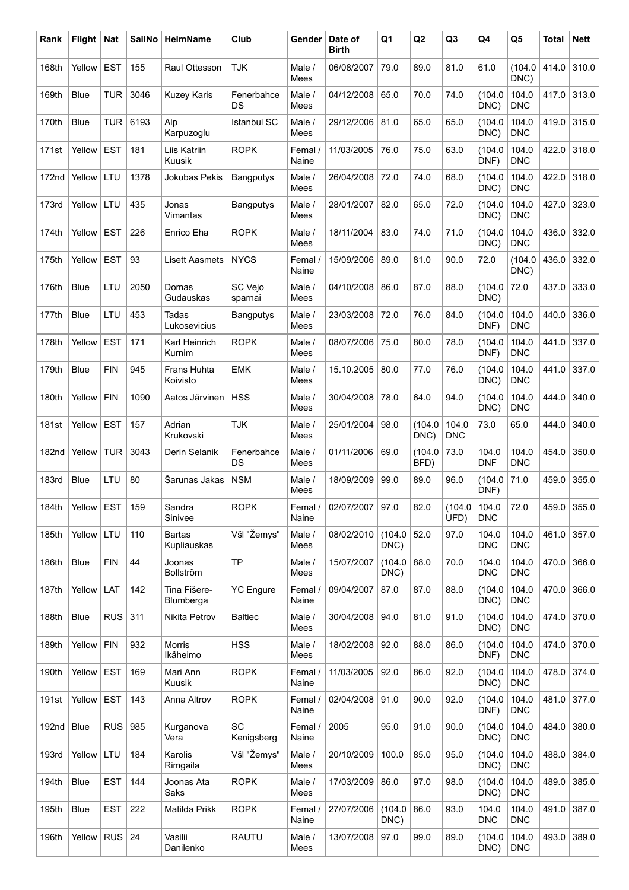| Rank         | <b>Flight</b> | <b>Nat</b> | <b>SailNo</b> | HelmName                     | Club               | Gender           | Date of<br><b>Birth</b> | Q1              | Q2             | Q <sub>3</sub>      | Q4                  | Q5                  | <b>Total</b> | <b>Nett</b> |
|--------------|---------------|------------|---------------|------------------------------|--------------------|------------------|-------------------------|-----------------|----------------|---------------------|---------------------|---------------------|--------------|-------------|
| 168th        | Yellow        | <b>EST</b> | 155           | Raul Ottesson                | <b>TJK</b>         | Male /<br>Mees   | 06/08/2007              | 79.0            | 89.0           | 81.0                | 61.0                | (104.0)<br>DNC)     | 414.0        | 310.0       |
| 169th        | <b>Blue</b>   | <b>TUR</b> | 3046          | <b>Kuzey Karis</b>           | Fenerbahce<br>DS   | Male /<br>Mees   | 04/12/2008              | 65.0            | 70.0           | 74.0                | (104.0<br>DNC)      | 104.0<br><b>DNC</b> | 417.0        | 313.0       |
| 170th        | <b>Blue</b>   | <b>TUR</b> | 6193          | Alp<br>Karpuzoglu            | <b>Istanbul SC</b> | Male /<br>Mees   | 29/12/2006              | 81.0            | 65.0           | 65.0                | (104.0<br>DNC)      | 104.0<br><b>DNC</b> | 419.0        | 315.0       |
| 171st        | Yellow        | <b>EST</b> | 181           | Liis Katriin<br>Kuusik       | <b>ROPK</b>        | Femal /<br>Naine | 11/03/2005              | 76.0            | 75.0           | 63.0                | (104.0<br>DNF)      | 104.0<br><b>DNC</b> | 422.0        | 318.0       |
| 172nd        | Yellow        | LTU        | 1378          | Jokubas Pekis                | <b>Bangputys</b>   | Male /<br>Mees   | 26/04/2008              | 72.0            | 74.0           | 68.0                | (104.0<br>DNC)      | 104.0<br><b>DNC</b> | 422.0        | 318.0       |
| 173rd        | Yellow        | LTU        | 435           | Jonas<br>Vimantas            | Bangputys          | Male /<br>Mees   | 28/01/2007              | 82.0            | 65.0           | 72.0                | (104.0<br>DNC)      | 104.0<br><b>DNC</b> | 427.0        | 323.0       |
| 174th        | Yellow        | <b>EST</b> | 226           | Enrico Eha                   | <b>ROPK</b>        | Male /<br>Mees   | 18/11/2004              | 83.0            | 74.0           | 71.0                | (104.0<br>DNC)      | 104.0<br><b>DNC</b> | 436.0        | 332.0       |
| 175th        | Yellow        | <b>EST</b> | 93            | <b>Lisett Aasmets</b>        | <b>NYCS</b>        | Femal /<br>Naine | 15/09/2006              | 89.0            | 81.0           | 90.0                | 72.0                | (104.0<br>DNC)      | 436.0        | 332.0       |
| 176th        | <b>Blue</b>   | LTU        | 2050          | Domas<br>Gudauskas           | SC Vejo<br>sparnai | Male /<br>Mees   | 04/10/2008              | 86.0            | 87.0           | 88.0                | (104.0<br>DNC)      | 72.0                | 437.0        | 333.0       |
| 177th        | <b>Blue</b>   | LTU        | 453           | Tadas<br>Lukosevicius        | <b>Bangputys</b>   | Male /<br>Mees   | 23/03/2008              | 72.0            | 76.0           | 84.0                | (104.0<br>DNF)      | 104.0<br><b>DNC</b> | 440.0        | 336.0       |
| 178th        | Yellow        | <b>EST</b> | 171           | Karl Heinrich<br>Kurnim      | <b>ROPK</b>        | Male /<br>Mees   | 08/07/2006              | 75.0            | 80.0           | 78.0                | (104.0<br>DNF)      | 104.0<br><b>DNC</b> | 441.0        | 337.0       |
| 179th        | <b>Blue</b>   | <b>FIN</b> | 945           | Frans Huhta<br>Koivisto      | <b>EMK</b>         | Male /<br>Mees   | 15.10.2005              | 80.0            | 77.0           | 76.0                | (104.0<br>DNC)      | 104.0<br><b>DNC</b> | 441.0        | 337.0       |
| 180th        | Yellow        | <b>FIN</b> | 1090          | Aatos Järvinen               | <b>HSS</b>         | Male /<br>Mees   | 30/04/2008              | 78.0            | 64.0           | 94.0                | (104.0<br>DNC)      | 104.0<br><b>DNC</b> | 444.0        | 340.0       |
| 181st        | Yellow        | <b>EST</b> | 157           | Adrian<br>Krukovski          | <b>TJK</b>         | Male /<br>Mees   | 25/01/2004              | 98.0            | (104.0<br>DNC) | 104.0<br><b>DNC</b> | 73.0                | 65.0                | 444.0        | 340.0       |
| 182nd        | Yellow        | <b>TUR</b> | 3043          | Derin Selanik                | Fenerbahce<br>DS   | Male /<br>Mees   | 01/11/2006              | 69.0            | (104.0<br>BFD) | 73.0                | 104.0<br><b>DNF</b> | 104.0<br><b>DNC</b> | 454.0        | 350.0       |
| <b>183rd</b> | Blue          | LTU        | 80            | Šarunas Jakas                | <b>NSM</b>         | Male /<br>Mees   | 18/09/2009              | 99.0            | 89.0           | 96.0                | (104.0<br>DNF)      | 71.0                | 459.0        | 355.0       |
| 184th        | Yellow EST    |            | 159           | Sandra<br>Sinivee            | <b>ROPK</b>        | Femal /<br>Naine | 02/07/2007   97.0       |                 | 82.0           | (104.0<br>UFD)      | 104.0<br><b>DNC</b> | 72.0                | 459.0        | 355.0       |
| 185th        | Yellow        | LTU        | 110           | <b>Bartas</b><br>Kupliauskas | Všl "Žemys"        | Male /<br>Mees   | 08/02/2010              | (104.0<br>DNC)  | 52.0           | 97.0                | 104.0<br><b>DNC</b> | 104.0<br><b>DNC</b> | 461.0        | 357.0       |
| 186th        | Blue          | <b>FIN</b> | 44            | Joonas<br>Bollström          | <b>TP</b>          | Male /<br>Mees   | 15/07/2007              | (104.0<br>DNC)  | 88.0           | 70.0                | 104.0<br><b>DNC</b> | 104.0<br><b>DNC</b> | 470.0        | 366.0       |
| 187th        | Yellow        | LAT        | 142           | Tina Fišere-<br>Blumberga    | <b>YC Engure</b>   | Femal /<br>Naine | 09/04/2007              | 87.0            | 87.0           | 88.0                | (104.0<br>DNC)      | 104.0<br><b>DNC</b> | 470.0        | 366.0       |
| 188th        | Blue          | <b>RUS</b> | 311           | Nikita Petrov                | <b>Baltiec</b>     | Male /<br>Mees   | 30/04/2008              | 94.0            | 81.0           | 91.0                | (104.0<br>DNC)      | 104.0<br><b>DNC</b> | 474.0        | 370.0       |
| 189th        | Yellow        | <b>FIN</b> | 932           | Morris<br>Ikäheimo           | <b>HSS</b>         | Male /<br>Mees   | 18/02/2008              | 92.0            | 88.0           | 86.0                | (104.0<br>DNF)      | 104.0<br><b>DNC</b> | 474.0        | 370.0       |
| 190th        | Yellow        | <b>EST</b> | 169           | Mari Ann<br>Kuusik           | <b>ROPK</b>        | Femal /<br>Naine | 11/03/2005              | 92.0            | 86.0           | 92.0                | (104.0<br>DNC)      | 104.0<br><b>DNC</b> | 478.0        | 374.0       |
| 191st        | Yellow        | <b>EST</b> | 143           | Anna Altrov                  | <b>ROPK</b>        | Femal /<br>Naine | 02/04/2008              | 91.0            | 90.0           | 92.0                | (104.0<br>DNF)      | 104.0<br><b>DNC</b> | 481.0        | 377.0       |
| 192nd        | Blue          | <b>RUS</b> | 985           | Kurganova<br>Vera            | SC<br>Kenigsberg   | Femal /<br>Naine | 2005                    | 95.0            | 91.0           | 90.0                | (104.0<br>DNC)      | 104.0<br><b>DNC</b> | 484.0        | 380.0       |
| 193rd        | Yellow        | LTU        | 184           | Karolis<br>Rimgaila          | Všl "Žemys"        | Male /<br>Mees   | 20/10/2009              | 100.0           | 85.0           | 95.0                | (104.0<br>DNC)      | 104.0<br><b>DNC</b> | 488.0        | 384.0       |
| 194th        | Blue          | <b>EST</b> | 144           | Joonas Ata<br>Saks           | <b>ROPK</b>        | Male /<br>Mees   | 17/03/2009              | 86.0            | 97.0           | 98.0                | (104.0<br>DNC)      | 104.0<br><b>DNC</b> | 489.0        | 385.0       |
| 195th        | <b>Blue</b>   | <b>EST</b> | 222           | Matilda Prikk                | <b>ROPK</b>        | Femal /<br>Naine | 27/07/2006              | (104.0)<br>DNC) | 86.0           | 93.0                | 104.0<br><b>DNC</b> | 104.0<br><b>DNC</b> | 491.0        | 387.0       |
| 196th        | Yellow        | <b>RUS</b> | 24            | Vasilii<br>Danilenko         | <b>RAUTU</b>       | Male /<br>Mees   | 13/07/2008              | 97.0            | 99.0           | 89.0                | (104.0<br>DNC)      | 104.0<br><b>DNC</b> | 493.0        | 389.0       |